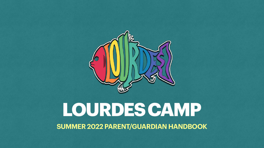# **LOURDES CAMP SUMMER 2022 PARENT/GUARDIAN HANDBOOK**

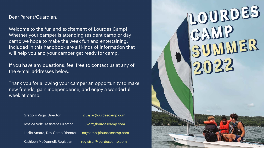Dear Parent/Guardian,

Welcome to the fun and excitement of Lourdes Camp! Whether your camper is attending resident camp or day camp we hope to make the week fun and entertaining. Included in this handbook are all kinds of information that will help you and your camper get ready for camp.

If you have any questions, feel free to contact us at any of the e-mail addresses below.

Thank you for allowing your camper an opportunity to make new friends, gain independence, and enjoy a wonderful week at camp.

| Gregory Vaga, Director           | gvaga@lourdescamp.com     |
|----------------------------------|---------------------------|
| Jessica Volz, Assistant Director | jvolz@lourdescamp.com     |
| Leslie Amato, Day Camp Director  | daycamp@lourdescamp.com   |
| Kathleen McDonnell, Registrar    | registrar@lourdescamp.com |

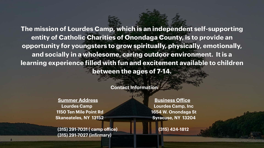**The mission of Lourdes Camp, which is an independent self-supporting entity of Catholic Charities of Onondaga County, is to provide an opportunity for youngsters to grow spiritually, physically, emotionally, and socially in a wholesome, caring outdoor environment. It is a learning experience filled with fun and excitement available to children between the ages of 7-14.**

**Contact Information**

 **Lourdes Camp Lourdes Camp, Inc**

 **Summer Address Business Office 1150 Ten Mile Point Rd 1654 W. Onondaga St Skaneateles, NY 13152 Syracuse, NY 13204**

 **(315) 291-7031 ( camp office) (315) 424-1812 (315) 291-7027 (infirmary)**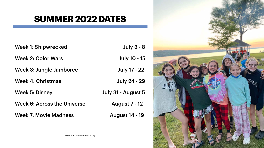

- July 3 8
- uly 10 15
- Ily 17 22
- ly 24 29
- **August 5**
- Jst 7 12
- st 14 19



### **SUMMER 2022 DATES**

| <b>Week 1: Shipwrecked</b>         |                    |
|------------------------------------|--------------------|
| <b>Week 2: Color Wars</b>          | Ju                 |
| Week 3: Jungle Jamboree            | Jul                |
| <b>Week 4: Christmas</b>           | Jul                |
| <b>Week 5: Disney</b>              | <b>July 31 - /</b> |
| <b>Week 6: Across the Universe</b> | Augu               |
| <b>Week 7: Movie Madness</b>       | <b>Augus</b>       |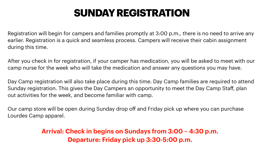Registration will begin for campers and families promptly at 3:00 p.m., there is no need to arrive any earlier. Registration is a quick and seamless process. Campers will receive their cabin assignment during this time.

After you check in for registration, if your camper has medication, you will be asked to meet with our camp nurse for the week who will take the medication and answer any questions you may have.

Day Camp registration will also take place during this time. Day Camp families are required to attend Sunday registration. This gives the Day Campers an opportunity to meet the Day Camp Staff, plan out activities for the week, and become familiar with camp.

Our camp store will be open during Sunday drop off and Friday pick up where you can purchase Lourdes Camp apparel.

# **SUNDAY REGISTRATION**

### **Arrival: Check in begins on Sundays from 3:00 – 4:30 p.m. Departure: Friday pick up 3:30-5:00 p.m.**

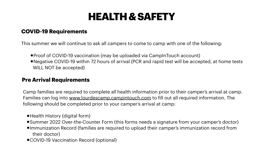### **COVID-19 Requirements**

- •Proof of COVID-19 vaccination (may be uploaded via CampInTouch account) •Negative COVID-19 within 72 hours of arrival (PCR and rapid test will be accepted, at home tests
- WILL NOT be accepted)

This summer we will continue to ask all campers to come to camp with one of the following:

 Camp families are required to complete all health information prior to their camper's arrival at camp. Families can log into [www.lourdescamp.campintouch.com](http://www.lourdescamp.campintouch.com) to fill out all required information. The

### **Pre Arrival Requirements**

following should be completed prior to your camper's arrival at camp:

- •Health History (digital form)
- 
- •Summer 2022 Over-the-Counter Form (this forms needs a signature from your camper's doctor) •Immunization Record (families are required to upload their camper's immunization record from their doctor)
- •COVID-19 Vaccination Record (optional)

# **HEALTH & SAFETY**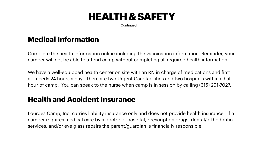### **Medical Information**

Complete the health information online including the vaccination information. Reminder, your camper will not be able to attend camp without completing all required health information.

We have a well-equipped health center on site with an RN in charge of medications and first aid needs 24 hours a day. There are two Urgent Care facilities and two hospitals within a half hour of camp. You can speak to the nurse when camp is in session by calling (315) 291-7027.

### **Health and Accident Insurance**

Lourdes Camp, Inc. carries liability insurance only and does not provide health insurance. If a camper requires medical care by a doctor or hospital, prescription drugs, dental/orthodontic services, and/or eye glass repairs the parent/guardian is financially responsible.

**Continued** 

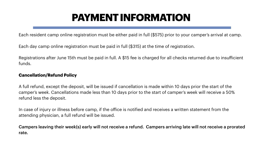# **PAYMENT INFORMATION**

Each resident camp online registration must be either paid in full (\$575) prior to your camper's arrival at camp.

Each day camp online registration must be paid in full (\$315) at the time of registration.

Registrations after June 15th must be paid in full. A \$15 fee is charged for all checks returned due to insufficient funds.

#### **Cancellation/Refund Policy**

A full refund, except the deposit, will be issued if cancellation is made within 10 days prior the start of the camper's week. Cancellations made less than 10 days prior to the start of camper's week will receive a 50% refund less the deposit.

In case of injury or illness before camp, if the office is notified and receives a written statement from the attending physician, a full refund will be issued.

Campers leaving their week(s) early will not receive a refund. Campers arriving late will not receive a prorated rate.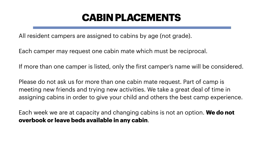### **CABIN PLACEMENTS**

All resident campers are assigned to cabins by age (not grade).

Each camper may request one cabin mate which must be reciprocal.

Please do not ask us for more than one cabin mate request. Part of camp is

- 
- 
- If more than one camper is listed, only the first camper's name will be considered.
- meeting new friends and trying new activities. We take a great deal of time in assigning cabins in order to give your child and others the best camp experience.
- Each week we are at capacity and changing cabins is not an option. **We do not**

**overbook or leave beds available in any cabin**.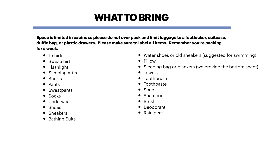# **WHAT TO BRING**

**Space is limited in cabins so please do not over pack and limit luggage to a footlocker, suitcase, duffle bag, or plastic drawers. Please make sure to label all items. Remember you're packing for a week.**

- Water shoes or old sneakers (suggested for swimming)
- Pillow
- Sleeping bag or blankets (we provide the bottom sheet)
- Towels
- Toothbrush
- Toothpaste
- Soap
- Shampoo
- Brush
- Deodorant
- Rain gear



- T-shirts
- Sweatshirt
- Flashlight
- Sleeping attire
- Shorts
- Pants
- Sweatpants
- Socks
- Underwear
- Shoes
- Sneakers
- Bathing Suits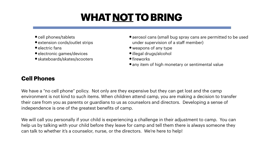# **WHAT NOT TO BRING**

- cell phones/tablets
- extension cords/outlet strips
- electric fans
- electronic games/devices
- skateboards/skates/scooters

### **Cell Phones**

We have a "no cell phone" policy. Not only are they expensive but they can get lost and the camp environment is not kind to such items. When children attend camp, you are making a decision to transfer their care from you as parents or guardians to us as counselors and directors. Developing a sense of independence is one of the greatest benefits of camp.

We will call you personally if your child is experiencing a challenge in their adjustment to camp. You can help us by talking with your child before they leave for camp and tell them there is always someone they can talk to whether it's a counselor, nurse, or the directors. We're here to help!

- aerosol cans (small bug spray cans are permitted to be used under supervision of a staff member)
- weapons of any type
- •illegal drugs/alcohol
- fireworks
- any item of high monetary or sentimental value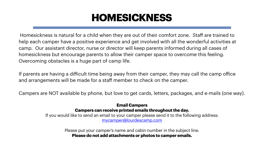# **HOMESICKNESS**

Homesickness is natural for a child when they are out of their comfort zone. Staff are trained to help each camper have a positive experience and get involved with all the wonderful activities at camp. Our assistant director, nurse or director will keep parents informed during all cases of homesickness but encourage parents to allow their camper space to overcome this feeling. Overcoming obstacles is a huge part of camp life.

If parents are having a difficult time being away from their camper, they may call the camp office and arrangements will be made for a staff member to check on the camper.

Campers are NOT available by phone, but love to get cards, letters, packages, and e-mails (one way).

#### **Email Campers Campers can receive printed emails throughout the day.**

If you would like to send an email to your camper please send it to the following address: [mycamper@lourdescamp.com](mailto:mycamper@lourdescamp.com)

> Please put your camper's name and cabin number in the subject line. **Please do not add attachments or photos to camper emails.**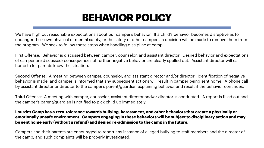# **BEHAVIOR POLICY**

We have high but reasonable expectations about our camper's behavior. If a child's behavior becomes disruptive as to endanger their own physical or mental safety, or the safety of other campers, a decision will be made to remove them from the program. We seek to follow these steps when handling discipline at camp.

First Offense: Behavior is discussed between camper, counselor, and assistant director. Desired behavior and expectations of camper are discussed; consequences of further negative behavior are clearly spelled out. Assistant director will call home to let parents know the situation.

Second Offense: A meeting between camper, counselor, and assistant director and/or director. Identification of negative behavior is made, and camper is informed that any subsequent actions will result in camper being sent home. A phone call by assistant director or director to the camper's parent/guardian explaining behavior and result if the behavior continues.

Third Offense: A meeting with camper, counselor, assistant director and/or director is conducted. A report is filled out and the camper's parent/guardian is notified to pick child up immediately.

#### **Lourdes Camp has a zero-tolerance towards bullying, harassment, and other behaviors that create a physically or emotionally unsafe environment. Campers engaging in these behaviors will be subject to disciplinary action and may be sent home early (without a refund) and denied re-admission to the camp in the future.**

Campers and their parents are encouraged to report any instance of alleged bullying to staff members and the director of the camp, and such complaints will be properly investigated.

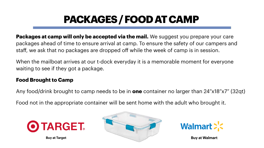

**Packages at camp will only be accepted via the mail.** We suggest you prepare your care packages ahead of time to ensure arrival at camp. To ensure the safety of our campers and staff, we ask that no packages are dropped off while the week of camp is in session.

When the mailboat arrives at our t-dock everyday it is a memorable moment for everyone waiting to see if they got a package.

### **Food Brought to Camp**

Any food/drink brought to camp needs to be in **one** container no larger than 24"x18"x7" (32qt)

Food not in the appropriate container will be sent home with the adult who brought it.



# **PACKAGES / FOOD AT CAMP**



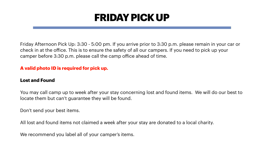# **FRIDAY PICK UP**

Friday Afternoon Pick Up: 3:30 - 5:00 pm. If you arrive prior to 3:30 p.m. please remain in your car or check in at the office. This is to ensure the safety of all our campers. If you need to pick up your camper before 3:30 p.m. please call the camp office ahead of time.

### **A valid photo ID is required for pick up.**

### **Lost and Found**

You may call camp up to week after your stay concerning lost and found items. We will do our best to locate them but can't guarantee they will be found.

Don't send your best items.

All lost and found items not claimed a week after your stay are donated to a local charity.

We recommend you label all of your camper's items.